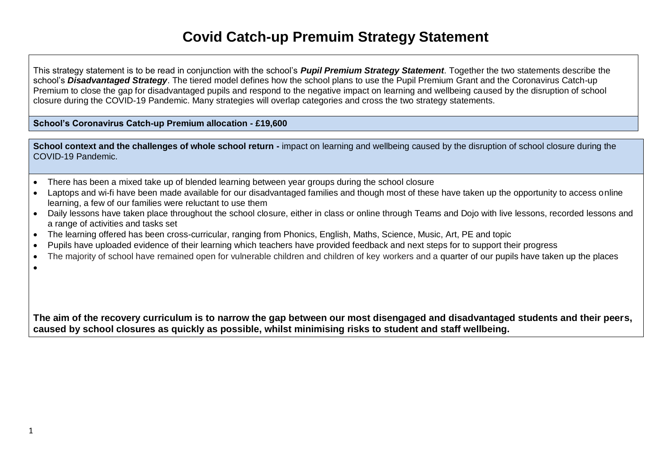## **Covid Catch-up Premuim Strategy Statement**

This strategy statement is to be read in conjunction with the school's *Pupil Premium Strategy Statement*. Together the two statements describe the school's *Disadvantaged Strategy*. The tiered model defines how the school plans to use the Pupil Premium Grant and the Coronavirus Catch-up Premium to close the gap for disadvantaged pupils and respond to the negative impact on learning and wellbeing caused by the disruption of school closure during the COVID-19 Pandemic. Many strategies will overlap categories and cross the two strategy statements.

**School's Coronavirus Catch-up Premium allocation - £19,600**

|                    | School context and the challenges of whole school return - impact on learning and wellbeing caused by the disruption of school closure during the |
|--------------------|---------------------------------------------------------------------------------------------------------------------------------------------------|
| COVID-19 Pandemic. |                                                                                                                                                   |

- There has been a mixed take up of blended learning between year groups during the school closure
- Laptops and wi-fi have been made available for our disadvantaged families and though most of these have taken up the opportunity to access online learning, a few of our families were reluctant to use them
- Daily lessons have taken place throughout the school closure, either in class or online through Teams and Dojo with live lessons, recorded lessons and a range of activities and tasks set
- The learning offered has been cross-curricular, ranging from Phonics, English, Maths, Science, Music, Art, PE and topic
- Pupils have uploaded evidence of their learning which teachers have provided feedback and next steps for to support their progress
- The majority of school have remained open for vulnerable children and children of key workers and a quarter of our pupils have taken up the places
- $\bullet$

**The aim of the recovery curriculum is to narrow the gap between our most disengaged and disadvantaged students and their peers, caused by school closures as quickly as possible, whilst minimising risks to student and staff wellbeing.**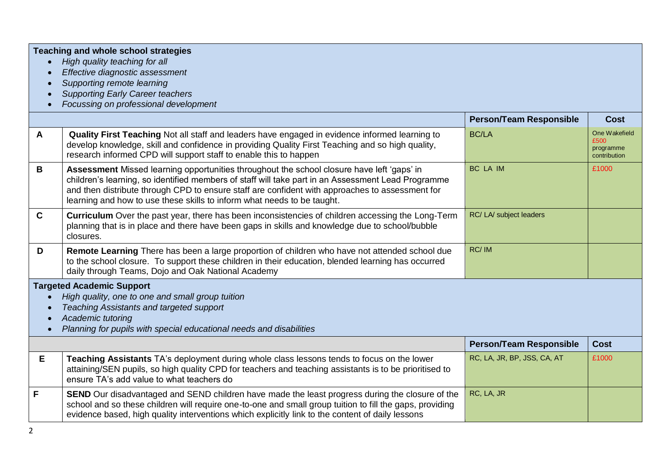|              | <b>Teaching and whole school strategies</b><br>High quality teaching for all<br>Effective diagnostic assessment<br>Supporting remote learning<br><b>Supporting Early Career teachers</b><br>Focussing on professional development                                                                                                                                              |                                |                                                    |
|--------------|--------------------------------------------------------------------------------------------------------------------------------------------------------------------------------------------------------------------------------------------------------------------------------------------------------------------------------------------------------------------------------|--------------------------------|----------------------------------------------------|
|              |                                                                                                                                                                                                                                                                                                                                                                                | <b>Person/Team Responsible</b> | <b>Cost</b>                                        |
| $\mathsf{A}$ | Quality First Teaching Not all staff and leaders have engaged in evidence informed learning to<br>develop knowledge, skill and confidence in providing Quality First Teaching and so high quality,<br>research informed CPD will support staff to enable this to happen                                                                                                        | <b>BC/LA</b>                   | One Wakefield<br>£500<br>programme<br>contribution |
| B            | Assessment Missed learning opportunities throughout the school closure have left 'gaps' in<br>children's learning, so identified members of staff will take part in an Assessment Lead Programme<br>and then distribute through CPD to ensure staff are confident with approaches to assessment for<br>learning and how to use these skills to inform what needs to be taught. | BC LA IM                       | £1000                                              |
| $\mathbf{C}$ | <b>Curriculum</b> Over the past year, there has been inconsistencies of children accessing the Long-Term<br>planning that is in place and there have been gaps in skills and knowledge due to school/bubble<br>closures.                                                                                                                                                       | RC/ LA/ subject leaders        |                                                    |
| D            | Remote Learning There has been a large proportion of children who have not attended school due<br>to the school closure. To support these children in their education, blended learning has occurred<br>daily through Teams, Dojo and Oak National Academy                                                                                                                     | RC/IM                          |                                                    |
|              | <b>Targeted Academic Support</b><br>High quality, one to one and small group tuition<br>Teaching Assistants and targeted support<br>Academic tutoring<br>Planning for pupils with special educational needs and disabilities                                                                                                                                                   |                                |                                                    |
|              |                                                                                                                                                                                                                                                                                                                                                                                | <b>Person/Team Responsible</b> | <b>Cost</b>                                        |
| E            | Teaching Assistants TA's deployment during whole class lessons tends to focus on the lower<br>attaining/SEN pupils, so high quality CPD for teachers and teaching assistants is to be prioritised to<br>ensure TA's add value to what teachers do                                                                                                                              | RC, LA, JR, BP, JSS, CA, AT    | £1000                                              |
| F            | <b>SEND</b> Our disadvantaged and SEND children have made the least progress during the closure of the<br>school and so these children will require one-to-one and small group tuition to fill the gaps, providing<br>evidence based, high quality interventions which explicitly link to the content of daily lessons                                                         | RC, LA, JR                     |                                                    |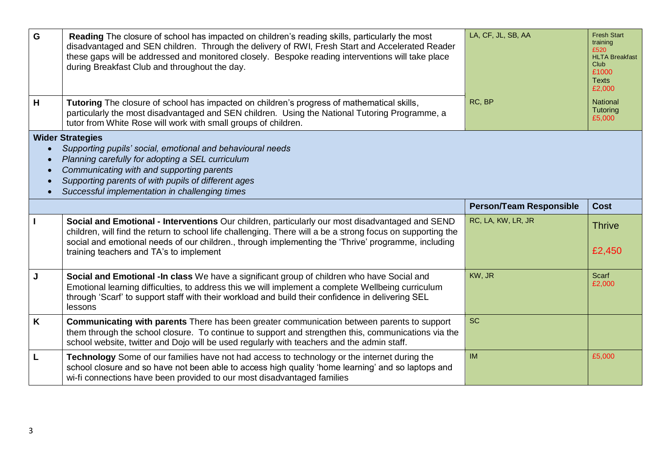| G | Reading The closure of school has impacted on children's reading skills, particularly the most<br>disadvantaged and SEN children. Through the delivery of RWI, Fresh Start and Accelerated Reader<br>these gaps will be addressed and monitored closely. Bespoke reading interventions will take place<br>during Breakfast Club and throughout the day.          | LA, CF, JL, SB, AA             | <b>Fresh Start</b><br>training<br>£520<br><b>HLTA Breakfast</b><br>Club.<br>£1000<br><b>Texts</b><br>£2,000 |
|---|------------------------------------------------------------------------------------------------------------------------------------------------------------------------------------------------------------------------------------------------------------------------------------------------------------------------------------------------------------------|--------------------------------|-------------------------------------------------------------------------------------------------------------|
| н | Tutoring The closure of school has impacted on children's progress of mathematical skills,<br>particularly the most disadvantaged and SEN children. Using the National Tutoring Programme, a<br>tutor from White Rose will work with small groups of children.                                                                                                   | RC, BP                         | National<br>Tutoring<br>£5,000                                                                              |
|   | <b>Wider Strategies</b><br>Supporting pupils' social, emotional and behavioural needs<br>Planning carefully for adopting a SEL curriculum<br>Communicating with and supporting parents<br>Supporting parents of with pupils of different ages<br>Successful implementation in challenging times                                                                  |                                |                                                                                                             |
|   |                                                                                                                                                                                                                                                                                                                                                                  | <b>Person/Team Responsible</b> | <b>Cost</b>                                                                                                 |
|   | Social and Emotional - Interventions Our children, particularly our most disadvantaged and SEND<br>children, will find the return to school life challenging. There will a be a strong focus on supporting the<br>social and emotional needs of our children., through implementing the 'Thrive' programme, including<br>training teachers and TA's to implement | RC, LA, KW, LR, JR             | <b>Thrive</b><br>£2,450                                                                                     |
|   |                                                                                                                                                                                                                                                                                                                                                                  |                                |                                                                                                             |
| J | Social and Emotional -In class We have a significant group of children who have Social and<br>Emotional learning difficulties, to address this we will implement a complete Wellbeing curriculum<br>through 'Scarf' to support staff with their workload and build their confidence in delivering SEL<br>lessons                                                 | KW, JR                         | <b>Scarf</b><br>£2,000                                                                                      |
| K | Communicating with parents There has been greater communication between parents to support<br>them through the school closure. To continue to support and strengthen this, communications via the<br>school website, twitter and Dojo will be used regularly with teachers and the admin staff.                                                                  | <b>SC</b>                      |                                                                                                             |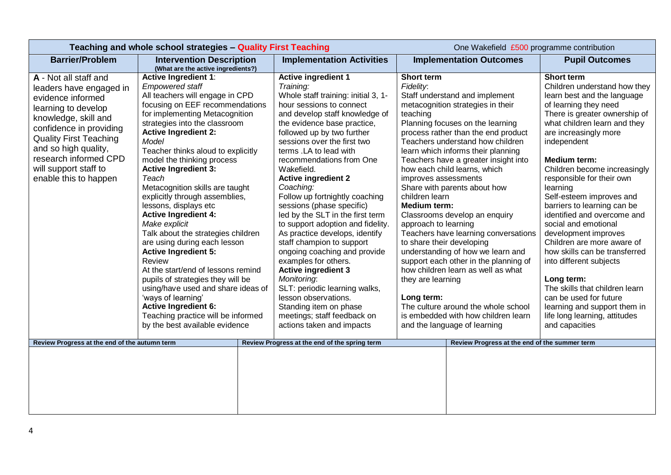|                                                                                                                                                                                                                                                                                     | Teaching and whole school strategies - Quality First Teaching                                                                                                                                                                                                                                                                                                                                                                                                                                                                                                                                                                                                                                                                                                                                                                                                 |                                                                                                                                                                                                                                                                                                                                                                                                                                                                                                                                                                                                                                                                                                                                                                                                                    | One Wakefield £500 programme contribution                                                                                                                                                                                                                                                                                                                                                                                                                                                                                                                                                                                                                                                                                                                                                                                                          |                                                                                                                                                                                                                                                                                                                                                                                                                                                                                                                                                                                                                                                                                                                     |
|-------------------------------------------------------------------------------------------------------------------------------------------------------------------------------------------------------------------------------------------------------------------------------------|---------------------------------------------------------------------------------------------------------------------------------------------------------------------------------------------------------------------------------------------------------------------------------------------------------------------------------------------------------------------------------------------------------------------------------------------------------------------------------------------------------------------------------------------------------------------------------------------------------------------------------------------------------------------------------------------------------------------------------------------------------------------------------------------------------------------------------------------------------------|--------------------------------------------------------------------------------------------------------------------------------------------------------------------------------------------------------------------------------------------------------------------------------------------------------------------------------------------------------------------------------------------------------------------------------------------------------------------------------------------------------------------------------------------------------------------------------------------------------------------------------------------------------------------------------------------------------------------------------------------------------------------------------------------------------------------|----------------------------------------------------------------------------------------------------------------------------------------------------------------------------------------------------------------------------------------------------------------------------------------------------------------------------------------------------------------------------------------------------------------------------------------------------------------------------------------------------------------------------------------------------------------------------------------------------------------------------------------------------------------------------------------------------------------------------------------------------------------------------------------------------------------------------------------------------|---------------------------------------------------------------------------------------------------------------------------------------------------------------------------------------------------------------------------------------------------------------------------------------------------------------------------------------------------------------------------------------------------------------------------------------------------------------------------------------------------------------------------------------------------------------------------------------------------------------------------------------------------------------------------------------------------------------------|
| <b>Barrier/Problem</b>                                                                                                                                                                                                                                                              | <b>Intervention Description</b><br>(What are the active ingredients?)                                                                                                                                                                                                                                                                                                                                                                                                                                                                                                                                                                                                                                                                                                                                                                                         | <b>Implementation Activities</b>                                                                                                                                                                                                                                                                                                                                                                                                                                                                                                                                                                                                                                                                                                                                                                                   | <b>Implementation Outcomes</b>                                                                                                                                                                                                                                                                                                                                                                                                                                                                                                                                                                                                                                                                                                                                                                                                                     | <b>Pupil Outcomes</b>                                                                                                                                                                                                                                                                                                                                                                                                                                                                                                                                                                                                                                                                                               |
| A - Not all staff and<br>leaders have engaged in<br>evidence informed<br>learning to develop<br>knowledge, skill and<br>confidence in providing<br><b>Quality First Teaching</b><br>and so high quality,<br>research informed CPD<br>will support staff to<br>enable this to happen | <b>Active Ingredient 1:</b><br><b>Empowered staff</b><br>All teachers will engage in CPD<br>focusing on EEF recommendations<br>for implementing Metacognition<br>strategies into the classroom<br><b>Active Ingredient 2:</b><br>Model<br>Teacher thinks aloud to explicitly<br>model the thinking process<br><b>Active Ingredient 3:</b><br>Teach<br>Metacognition skills are taught<br>explicitly through assemblies,<br>lessons, displays etc<br><b>Active Ingredient 4:</b><br>Make explicit<br>Talk about the strategies children<br>are using during each lesson<br><b>Active Ingredient 5:</b><br>Review<br>At the start/end of lessons remind<br>pupils of strategies they will be<br>using/have used and share ideas of<br>'ways of learning'<br><b>Active Ingredient 6:</b><br>Teaching practice will be informed<br>by the best available evidence | <b>Active ingredient 1</b><br>Training:<br>Whole staff training: initial 3, 1-<br>hour sessions to connect<br>and develop staff knowledge of<br>the evidence base practice,<br>followed up by two further<br>sessions over the first two<br>terms .LA to lead with<br>recommendations from One<br>Wakefield.<br><b>Active ingredient 2</b><br>Coaching:<br>Follow up fortnightly coaching<br>sessions (phase specific)<br>led by the SLT in the first term<br>to support adoption and fidelity.<br>As practice develops, identify<br>staff champion to support<br>ongoing coaching and provide<br>examples for others.<br><b>Active ingredient 3</b><br>Monitoring:<br>SLT: periodic learning walks,<br>lesson observations.<br>Standing item on phase<br>meetings; staff feedback on<br>actions taken and impacts | <b>Short term</b><br>Fidelity:<br>Staff understand and implement<br>metacognition strategies in their<br>teaching<br>Planning focuses on the learning<br>process rather than the end product<br>Teachers understand how children<br>learn which informs their planning<br>Teachers have a greater insight into<br>how each child learns, which<br>improves assessments<br>Share with parents about how<br>children learn<br><b>Medium term:</b><br>Classrooms develop an enquiry<br>approach to learning<br>Teachers have learning conversations<br>to share their developing<br>understanding of how we learn and<br>support each other in the planning of<br>how children learn as well as what<br>they are learning<br>Long term:<br>The culture around the whole school<br>is embedded with how children learn<br>and the language of learning | <b>Short term</b><br>Children understand how they<br>learn best and the language<br>of learning they need<br>There is greater ownership of<br>what children learn and they<br>are increasingly more<br>independent<br><b>Medium term:</b><br>Children become increasingly<br>responsible for their own<br>learning<br>Self-esteem improves and<br>barriers to learning can be<br>identified and overcome and<br>social and emotional<br>development improves<br>Children are more aware of<br>how skills can be transferred<br>into different subjects<br>Long term:<br>The skills that children learn<br>can be used for future<br>learning and support them in<br>life long learning, attitudes<br>and capacities |
| Review Progress at the end of the autumn term                                                                                                                                                                                                                                       |                                                                                                                                                                                                                                                                                                                                                                                                                                                                                                                                                                                                                                                                                                                                                                                                                                                               | Review Progress at the end of the spring term                                                                                                                                                                                                                                                                                                                                                                                                                                                                                                                                                                                                                                                                                                                                                                      | Review Progress at the end of the summer term                                                                                                                                                                                                                                                                                                                                                                                                                                                                                                                                                                                                                                                                                                                                                                                                      |                                                                                                                                                                                                                                                                                                                                                                                                                                                                                                                                                                                                                                                                                                                     |
|                                                                                                                                                                                                                                                                                     |                                                                                                                                                                                                                                                                                                                                                                                                                                                                                                                                                                                                                                                                                                                                                                                                                                                               |                                                                                                                                                                                                                                                                                                                                                                                                                                                                                                                                                                                                                                                                                                                                                                                                                    |                                                                                                                                                                                                                                                                                                                                                                                                                                                                                                                                                                                                                                                                                                                                                                                                                                                    |                                                                                                                                                                                                                                                                                                                                                                                                                                                                                                                                                                                                                                                                                                                     |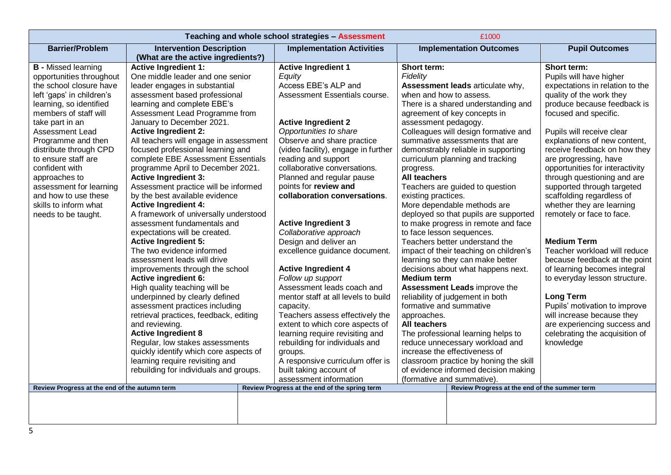| Teaching and whole school strategies - Assessment |                                        |  |                                               |                         | £1000                                         |                                 |
|---------------------------------------------------|----------------------------------------|--|-----------------------------------------------|-------------------------|-----------------------------------------------|---------------------------------|
| <b>Barrier/Problem</b>                            | <b>Intervention Description</b>        |  | <b>Implementation Activities</b>              |                         | <b>Implementation Outcomes</b>                | <b>Pupil Outcomes</b>           |
|                                                   | (What are the active ingredients?)     |  |                                               |                         |                                               |                                 |
| <b>B</b> - Missed learning                        | <b>Active Ingredient 1:</b>            |  | <b>Active Ingredient 1</b>                    | Short term:             |                                               | Short term:                     |
| opportunities throughout                          | One middle leader and one senior       |  | Equity                                        | Fidelity                |                                               | Pupils will have higher         |
| the school closure have                           | leader engages in substantial          |  | Access EBE's ALP and                          |                         | Assessment leads articulate why,              | expectations in relation to the |
| left 'gaps' in children's                         | assessment based professional          |  | Assessment Essentials course.                 | when and how to assess. |                                               | quality of the work they        |
| learning, so identified                           | learning and complete EBE's            |  |                                               |                         | There is a shared understanding and           | produce because feedback is     |
| members of staff will                             | Assessment Lead Programme from         |  |                                               |                         | agreement of key concepts in                  | focused and specific.           |
| take part in an                                   | January to December 2021.              |  | <b>Active Ingredient 2</b>                    | assessment pedagogy.    |                                               |                                 |
| <b>Assessment Lead</b>                            | <b>Active Ingredient 2:</b>            |  | Opportunities to share                        |                         | Colleagues will design formative and          | Pupils will receive clear       |
| Programme and then                                | All teachers will engage in assessment |  | Observe and share practice                    |                         | summative assessments that are                | explanations of new content,    |
| distribute through CPD                            | focused professional learning and      |  | (video facility), engage in further           |                         | demonstrably reliable in supporting           | receive feedback on how they    |
| to ensure staff are                               | complete EBE Assessment Essentials     |  | reading and support                           |                         | curriculum planning and tracking              | are progressing, have           |
| confident with                                    | programme April to December 2021.      |  | collaborative conversations.                  | progress.               |                                               | opportunities for interactivity |
| approaches to                                     | <b>Active Ingredient 3:</b>            |  | Planned and regular pause                     | All teachers            |                                               | through questioning and are     |
| assessment for learning                           | Assessment practice will be informed   |  | points for review and                         |                         | Teachers are guided to question               | supported through targeted      |
| and how to use these                              | by the best available evidence         |  | collaboration conversations.                  | existing practices.     |                                               | scaffolding regardless of       |
| skills to inform what                             | <b>Active Ingredient 4:</b>            |  |                                               |                         | More dependable methods are                   | whether they are learning       |
| needs to be taught.                               | A framework of universally understood  |  |                                               |                         | deployed so that pupils are supported         | remotely or face to face.       |
|                                                   | assessment fundamentals and            |  | <b>Active Ingredient 3</b>                    |                         | to make progress in remote and face           |                                 |
|                                                   | expectations will be created.          |  | Collaborative approach                        |                         | to face lesson sequences.                     |                                 |
|                                                   | <b>Active Ingredient 5:</b>            |  | Design and deliver an                         |                         | Teachers better understand the                | <b>Medium Term</b>              |
|                                                   | The two evidence informed              |  | excellence guidance document.                 |                         | impact of their teaching on children's        | Teacher workload will reduce    |
|                                                   | assessment leads will drive            |  |                                               |                         | learning so they can make better              | because feedback at the point   |
|                                                   | improvements through the school        |  | <b>Active Ingredient 4</b>                    |                         | decisions about what happens next.            | of learning becomes integral    |
|                                                   | <b>Active ingredient 6:</b>            |  | Follow up support                             | <b>Medium term</b>      |                                               | to everyday lesson structure.   |
|                                                   | High quality teaching will be          |  | Assessment leads coach and                    |                         | <b>Assessment Leads improve the</b>           |                                 |
|                                                   | underpinned by clearly defined         |  | mentor staff at all levels to build           |                         | reliability of judgement in both              | <b>Long Term</b>                |
|                                                   | assessment practices including         |  | capacity.                                     | formative and summative |                                               | Pupils' motivation to improve   |
|                                                   | retrieval practices, feedback, editing |  | Teachers assess effectively the               | approaches.             |                                               | will increase because they      |
|                                                   | and reviewing.                         |  | extent to which core aspects of               | All teachers            |                                               | are experiencing success and    |
|                                                   | <b>Active Ingredient 8</b>             |  | learning require revisiting and               |                         | The professional learning helps to            | celebrating the acquisition of  |
|                                                   | Regular, low stakes assessments        |  | rebuilding for individuals and                |                         | reduce unnecessary workload and               | knowledge                       |
|                                                   | quickly identify which core aspects of |  | groups.                                       |                         | increase the effectiveness of                 |                                 |
|                                                   | learning require revisiting and        |  | A responsive curriculum offer is              |                         | classroom practice by honing the skill        |                                 |
|                                                   | rebuilding for individuals and groups. |  | built taking account of                       |                         | of evidence informed decision making          |                                 |
|                                                   |                                        |  | assessment information                        |                         | (formative and summative).                    |                                 |
| Review Progress at the end of the autumn term     |                                        |  | Review Progress at the end of the spring term |                         | Review Progress at the end of the summer term |                                 |
|                                                   |                                        |  |                                               |                         |                                               |                                 |
|                                                   |                                        |  |                                               |                         |                                               |                                 |
|                                                   |                                        |  |                                               |                         |                                               |                                 |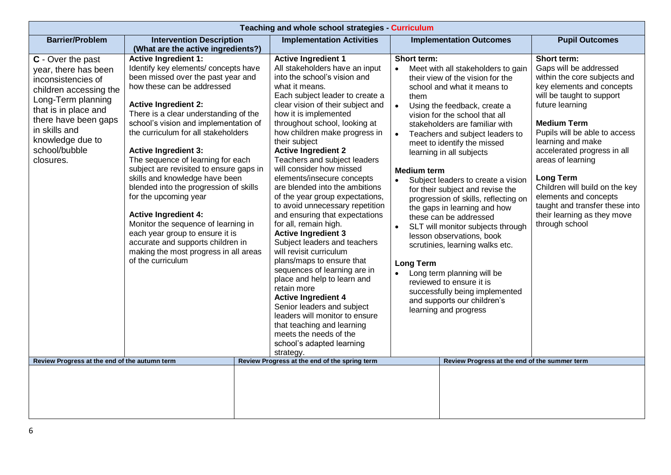|                                                                                                                                                                                                                                    | Teaching and whole school strategies - Curriculum                                                                                                                                                                                                                                                                                                                                                                                                                                                                                                                                                                                                                                                                               |  |                                                                                                                                                                                                                                                                                                                                                                                                                                                                                                                                                                                                                                                                                                                                                                                                                                                                                                                                                                                                   |                                                  |                                                               |                                                                                                                                                                                                                                                                                                                                                                                                                                                                                                                                                                                                                                                                                                                                              |                                                                                                                                                                                                                                                                                                                                                                                                                                                      |
|------------------------------------------------------------------------------------------------------------------------------------------------------------------------------------------------------------------------------------|---------------------------------------------------------------------------------------------------------------------------------------------------------------------------------------------------------------------------------------------------------------------------------------------------------------------------------------------------------------------------------------------------------------------------------------------------------------------------------------------------------------------------------------------------------------------------------------------------------------------------------------------------------------------------------------------------------------------------------|--|---------------------------------------------------------------------------------------------------------------------------------------------------------------------------------------------------------------------------------------------------------------------------------------------------------------------------------------------------------------------------------------------------------------------------------------------------------------------------------------------------------------------------------------------------------------------------------------------------------------------------------------------------------------------------------------------------------------------------------------------------------------------------------------------------------------------------------------------------------------------------------------------------------------------------------------------------------------------------------------------------|--------------------------------------------------|---------------------------------------------------------------|----------------------------------------------------------------------------------------------------------------------------------------------------------------------------------------------------------------------------------------------------------------------------------------------------------------------------------------------------------------------------------------------------------------------------------------------------------------------------------------------------------------------------------------------------------------------------------------------------------------------------------------------------------------------------------------------------------------------------------------------|------------------------------------------------------------------------------------------------------------------------------------------------------------------------------------------------------------------------------------------------------------------------------------------------------------------------------------------------------------------------------------------------------------------------------------------------------|
| <b>Barrier/Problem</b>                                                                                                                                                                                                             | <b>Intervention Description</b><br>(What are the active ingredients?)                                                                                                                                                                                                                                                                                                                                                                                                                                                                                                                                                                                                                                                           |  | <b>Implementation Activities</b>                                                                                                                                                                                                                                                                                                                                                                                                                                                                                                                                                                                                                                                                                                                                                                                                                                                                                                                                                                  |                                                  |                                                               | <b>Implementation Outcomes</b>                                                                                                                                                                                                                                                                                                                                                                                                                                                                                                                                                                                                                                                                                                               | <b>Pupil Outcomes</b>                                                                                                                                                                                                                                                                                                                                                                                                                                |
| C - Over the past<br>year, there has been<br>inconsistencies of<br>children accessing the<br>Long-Term planning<br>that is in place and<br>there have been gaps<br>in skills and<br>knowledge due to<br>school/bubble<br>closures. | <b>Active Ingredient 1:</b><br>Identify key elements/ concepts have<br>been missed over the past year and<br>how these can be addressed<br><b>Active Ingredient 2:</b><br>There is a clear understanding of the<br>school's vision and implementation of<br>the curriculum for all stakeholders<br><b>Active Ingredient 3:</b><br>The sequence of learning for each<br>subject are revisited to ensure gaps in<br>skills and knowledge have been<br>blended into the progression of skills<br>for the upcoming year<br><b>Active Ingredient 4:</b><br>Monitor the sequence of learning in<br>each year group to ensure it is<br>accurate and supports children in<br>making the most progress in all areas<br>of the curriculum |  | <b>Active Ingredient 1</b><br>All stakeholders have an input<br>into the school's vision and<br>what it means.<br>Each subject leader to create a<br>clear vision of their subject and<br>how it is implemented<br>throughout school, looking at<br>how children make progress in<br>their subject<br><b>Active Ingredient 2</b><br>Teachers and subject leaders<br>will consider how missed<br>elements/insecure concepts<br>are blended into the ambitions<br>of the year group expectations,<br>to avoid unnecessary repetition<br>and ensuring that expectations<br>for all, remain high.<br><b>Active Ingredient 3</b><br>Subject leaders and teachers<br>will revisit curriculum<br>plans/maps to ensure that<br>sequences of learning are in<br>place and help to learn and<br>retain more<br><b>Active Ingredient 4</b><br>Senior leaders and subject<br>leaders will monitor to ensure<br>that teaching and learning<br>meets the needs of the<br>school's adapted learning<br>strategy. | $\bullet$<br>$\bullet$<br>$\bullet$<br>$\bullet$ | Short term:<br>them<br><b>Medium term</b><br><b>Long Term</b> | Meet with all stakeholders to gain<br>their view of the vision for the<br>school and what it means to<br>Using the feedback, create a<br>vision for the school that all<br>stakeholders are familiar with<br>Teachers and subject leaders to<br>meet to identify the missed<br>learning in all subjects<br>Subject leaders to create a vision<br>for their subject and revise the<br>progression of skills, reflecting on<br>the gaps in learning and how<br>these can be addressed<br>SLT will monitor subjects through<br>lesson observations, book<br>scrutinies, learning walks etc.<br>Long term planning will be<br>reviewed to ensure it is<br>successfully being implemented<br>and supports our children's<br>learning and progress | Short term:<br>Gaps will be addressed<br>within the core subjects and<br>key elements and concepts<br>will be taught to support<br>future learning<br><b>Medium Term</b><br>Pupils will be able to access<br>learning and make<br>accelerated progress in all<br>areas of learning<br><b>Long Term</b><br>Children will build on the key<br>elements and concepts<br>taught and transfer these into<br>their learning as they move<br>through school |
| Review Progress at the end of the autumn term                                                                                                                                                                                      |                                                                                                                                                                                                                                                                                                                                                                                                                                                                                                                                                                                                                                                                                                                                 |  | Review Progress at the end of the spring term                                                                                                                                                                                                                                                                                                                                                                                                                                                                                                                                                                                                                                                                                                                                                                                                                                                                                                                                                     |                                                  |                                                               | Review Progress at the end of the summer term                                                                                                                                                                                                                                                                                                                                                                                                                                                                                                                                                                                                                                                                                                |                                                                                                                                                                                                                                                                                                                                                                                                                                                      |
|                                                                                                                                                                                                                                    |                                                                                                                                                                                                                                                                                                                                                                                                                                                                                                                                                                                                                                                                                                                                 |  |                                                                                                                                                                                                                                                                                                                                                                                                                                                                                                                                                                                                                                                                                                                                                                                                                                                                                                                                                                                                   |                                                  |                                                               |                                                                                                                                                                                                                                                                                                                                                                                                                                                                                                                                                                                                                                                                                                                                              |                                                                                                                                                                                                                                                                                                                                                                                                                                                      |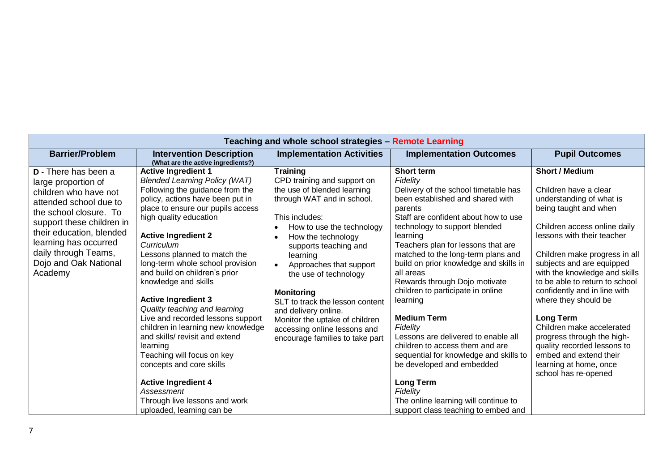| Teaching and whole school strategies - Remote Learning                                                                                                                                                                                                                        |                                                                                                                                                                                                                                                                                                                                                                                                                                                                                                                                                                                                                                                                                                                                              |                                                                                                                                                                                                                                                                                                                                                                                                                                                                |                                                                                                                                                                                                                                                                                                                                                                                                                                                                                                                                                                                                                                                                                                                                  |                                                                                                                                                                                                                                                                                                                                                                                                                                                                                                                                               |
|-------------------------------------------------------------------------------------------------------------------------------------------------------------------------------------------------------------------------------------------------------------------------------|----------------------------------------------------------------------------------------------------------------------------------------------------------------------------------------------------------------------------------------------------------------------------------------------------------------------------------------------------------------------------------------------------------------------------------------------------------------------------------------------------------------------------------------------------------------------------------------------------------------------------------------------------------------------------------------------------------------------------------------------|----------------------------------------------------------------------------------------------------------------------------------------------------------------------------------------------------------------------------------------------------------------------------------------------------------------------------------------------------------------------------------------------------------------------------------------------------------------|----------------------------------------------------------------------------------------------------------------------------------------------------------------------------------------------------------------------------------------------------------------------------------------------------------------------------------------------------------------------------------------------------------------------------------------------------------------------------------------------------------------------------------------------------------------------------------------------------------------------------------------------------------------------------------------------------------------------------------|-----------------------------------------------------------------------------------------------------------------------------------------------------------------------------------------------------------------------------------------------------------------------------------------------------------------------------------------------------------------------------------------------------------------------------------------------------------------------------------------------------------------------------------------------|
| <b>Barrier/Problem</b>                                                                                                                                                                                                                                                        | <b>Intervention Description</b><br>(What are the active ingredients?)                                                                                                                                                                                                                                                                                                                                                                                                                                                                                                                                                                                                                                                                        | <b>Implementation Activities</b>                                                                                                                                                                                                                                                                                                                                                                                                                               | <b>Implementation Outcomes</b>                                                                                                                                                                                                                                                                                                                                                                                                                                                                                                                                                                                                                                                                                                   | <b>Pupil Outcomes</b>                                                                                                                                                                                                                                                                                                                                                                                                                                                                                                                         |
| <b>D</b> - There has been a<br>large proportion of<br>children who have not<br>attended school due to<br>the school closure. To<br>support these children in<br>their education, blended<br>learning has occurred<br>daily through Teams,<br>Dojo and Oak National<br>Academy | <b>Active Ingredient 1</b><br><b>Blended Learning Policy (WAT)</b><br>Following the guidance from the<br>policy, actions have been put in<br>place to ensure our pupils access<br>high quality education<br><b>Active Ingredient 2</b><br>Curriculum<br>Lessons planned to match the<br>long-term whole school provision<br>and build on children's prior<br>knowledge and skills<br><b>Active Ingredient 3</b><br>Quality teaching and learning<br>Live and recorded lessons support<br>children in learning new knowledge<br>and skills/revisit and extend<br>learning<br>Teaching will focus on key<br>concepts and core skills<br><b>Active Ingredient 4</b><br>Assessment<br>Through live lessons and work<br>uploaded, learning can be | <b>Training</b><br>CPD training and support on<br>the use of blended learning<br>through WAT and in school.<br>This includes:<br>How to use the technology<br>How the technology<br>supports teaching and<br>learning<br>Approaches that support<br>the use of technology<br><b>Monitoring</b><br>SLT to track the lesson content<br>and delivery online.<br>Monitor the uptake of children<br>accessing online lessons and<br>encourage families to take part | <b>Short term</b><br>Fidelity<br>Delivery of the school timetable has<br>been established and shared with<br>parents<br>Staff are confident about how to use<br>technology to support blended<br>learning<br>Teachers plan for lessons that are<br>matched to the long-term plans and<br>build on prior knowledge and skills in<br>all areas<br>Rewards through Dojo motivate<br>children to participate in online<br>learning<br><b>Medium Term</b><br>Fidelity<br>Lessons are delivered to enable all<br>children to access them and are<br>sequential for knowledge and skills to<br>be developed and embedded<br><b>Long Term</b><br>Fidelity<br>The online learning will continue to<br>support class teaching to embed and | <b>Short / Medium</b><br>Children have a clear<br>understanding of what is<br>being taught and when<br>Children access online daily<br>lessons with their teacher<br>Children make progress in all<br>subjects and are equipped<br>with the knowledge and skills<br>to be able to return to school<br>confidently and in line with<br>where they should be<br>Long Term<br>Children make accelerated<br>progress through the high-<br>quality recorded lessons to<br>embed and extend their<br>learning at home, once<br>school has re-opened |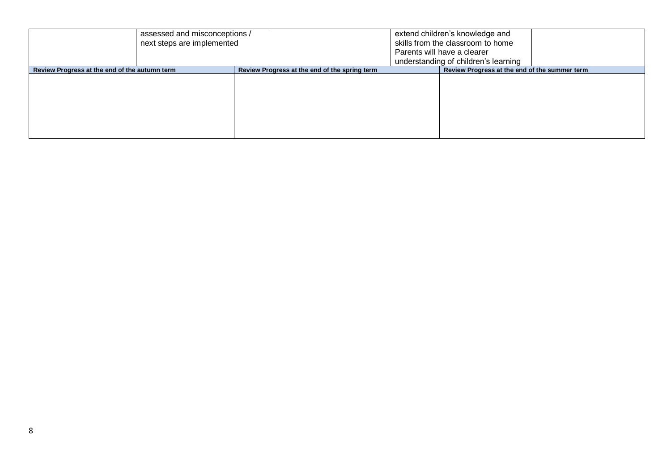| assessed and misconceptions /<br>next steps are implemented |                                               | extend children's knowledge and<br>skills from the classroom to home<br>Parents will have a clearer<br>understanding of children's learning |
|-------------------------------------------------------------|-----------------------------------------------|---------------------------------------------------------------------------------------------------------------------------------------------|
| Review Progress at the end of the autumn term               | Review Progress at the end of the spring term | Review Progress at the end of the summer term                                                                                               |
|                                                             |                                               |                                                                                                                                             |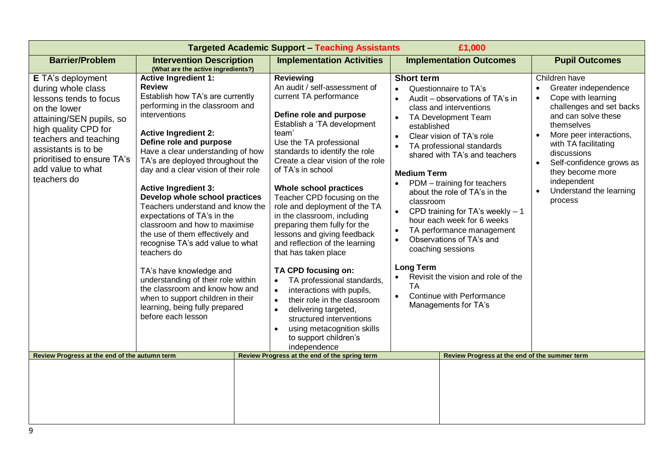| <b>Targeted Academic Support - Teaching Assistants</b><br>£1,000                                                                                                                                                                                        |                                                                                                                                                                                                                                                                                                                                                                                                                                                                                                                                                                                                                                                                                                                                                                            |                                                                                                                                                                                                                                                                                                                                                                                                                                                                                                                                                                                                                                                                                                                                                                                                                         |                                                                                                                                                                                                                                                                                                                                                                                                                                                                                                                                                                                                                                                                                                                                                |                                                                                                                                                                                                                                                                                                                                            |  |
|---------------------------------------------------------------------------------------------------------------------------------------------------------------------------------------------------------------------------------------------------------|----------------------------------------------------------------------------------------------------------------------------------------------------------------------------------------------------------------------------------------------------------------------------------------------------------------------------------------------------------------------------------------------------------------------------------------------------------------------------------------------------------------------------------------------------------------------------------------------------------------------------------------------------------------------------------------------------------------------------------------------------------------------------|-------------------------------------------------------------------------------------------------------------------------------------------------------------------------------------------------------------------------------------------------------------------------------------------------------------------------------------------------------------------------------------------------------------------------------------------------------------------------------------------------------------------------------------------------------------------------------------------------------------------------------------------------------------------------------------------------------------------------------------------------------------------------------------------------------------------------|------------------------------------------------------------------------------------------------------------------------------------------------------------------------------------------------------------------------------------------------------------------------------------------------------------------------------------------------------------------------------------------------------------------------------------------------------------------------------------------------------------------------------------------------------------------------------------------------------------------------------------------------------------------------------------------------------------------------------------------------|--------------------------------------------------------------------------------------------------------------------------------------------------------------------------------------------------------------------------------------------------------------------------------------------------------------------------------------------|--|
| <b>Barrier/Problem</b>                                                                                                                                                                                                                                  | <b>Intervention Description</b><br>(What are the active ingredients?)                                                                                                                                                                                                                                                                                                                                                                                                                                                                                                                                                                                                                                                                                                      | <b>Implementation Activities</b>                                                                                                                                                                                                                                                                                                                                                                                                                                                                                                                                                                                                                                                                                                                                                                                        | <b>Implementation Outcomes</b>                                                                                                                                                                                                                                                                                                                                                                                                                                                                                                                                                                                                                                                                                                                 | <b>Pupil Outcomes</b>                                                                                                                                                                                                                                                                                                                      |  |
| E TA's deployment<br>during whole class<br>lessons tends to focus<br>on the lower<br>attaining/SEN pupils, so<br>high quality CPD for<br>teachers and teaching<br>assistants is to be<br>prioritised to ensure TA's<br>add value to what<br>teachers do | <b>Active Ingredient 1:</b><br><b>Review</b><br>Establish how TA's are currently<br>performing in the classroom and<br>interventions<br><b>Active Ingredient 2:</b><br>Define role and purpose<br>Have a clear understanding of how<br>TA's are deployed throughout the<br>day and a clear vision of their role<br><b>Active Ingredient 3:</b><br>Develop whole school practices<br>Teachers understand and know the<br>expectations of TA's in the<br>classroom and how to maximise<br>the use of them effectively and<br>recognise TA's add value to what<br>teachers do<br>TA's have knowledge and<br>understanding of their role within<br>the classroom and know how and<br>when to support children in their<br>learning, being fully prepared<br>before each lesson | <b>Reviewing</b><br>An audit / self-assessment of<br>current TA performance<br>Define role and purpose<br>Establish a 'TA development<br>team'<br>Use the TA professional<br>standards to identify the role<br>Create a clear vision of the role<br>of TA's in school<br>Whole school practices<br>Teacher CPD focusing on the<br>role and deployment of the TA<br>in the classroom, including<br>preparing them fully for the<br>lessons and giving feedback<br>and reflection of the learning<br>that has taken place<br>TA CPD focusing on:<br>TA professional standards,<br>interactions with pupils,<br>$\bullet$<br>their role in the classroom<br>$\bullet$<br>delivering targeted,<br>$\bullet$<br>structured interventions<br>using metacognition skills<br>$\bullet$<br>to support children's<br>independence | <b>Short term</b><br>Questionnaire to TA's<br>$\bullet$<br>Audit - observations of TA's in<br>$\bullet$<br>class and interventions<br>TA Development Team<br>$\bullet$<br>established<br>Clear vision of TA's role<br>$\bullet$<br>TA professional standards<br>$\bullet$<br>shared with TA's and teachers<br><b>Medium Term</b><br>PDM - training for teachers<br>about the role of TA's in the<br>classroom<br>CPD training for TA's weekly $-1$<br>$\bullet$<br>hour each week for 6 weeks<br>TA performance management<br>$\bullet$<br>Observations of TA's and<br>$\bullet$<br>coaching sessions<br><b>Long Term</b><br>Revisit the vision and role of the<br><b>TA</b><br>Continue with Performance<br>$\bullet$<br>Managements for TA's | Children have<br>Greater independence<br>$\bullet$<br>Cope with learning<br>$\bullet$<br>challenges and set backs<br>and can solve these<br>themselves<br>More peer interactions,<br>with TA facilitating<br>discussions<br>Self-confidence grows as<br>they become more<br>independent<br>Understand the learning<br>$\bullet$<br>process |  |
| Review Progress at the end of the autumn term                                                                                                                                                                                                           |                                                                                                                                                                                                                                                                                                                                                                                                                                                                                                                                                                                                                                                                                                                                                                            | Review Progress at the end of the spring term                                                                                                                                                                                                                                                                                                                                                                                                                                                                                                                                                                                                                                                                                                                                                                           | Review Progress at the end of the summer term                                                                                                                                                                                                                                                                                                                                                                                                                                                                                                                                                                                                                                                                                                  |                                                                                                                                                                                                                                                                                                                                            |  |
|                                                                                                                                                                                                                                                         |                                                                                                                                                                                                                                                                                                                                                                                                                                                                                                                                                                                                                                                                                                                                                                            |                                                                                                                                                                                                                                                                                                                                                                                                                                                                                                                                                                                                                                                                                                                                                                                                                         |                                                                                                                                                                                                                                                                                                                                                                                                                                                                                                                                                                                                                                                                                                                                                |                                                                                                                                                                                                                                                                                                                                            |  |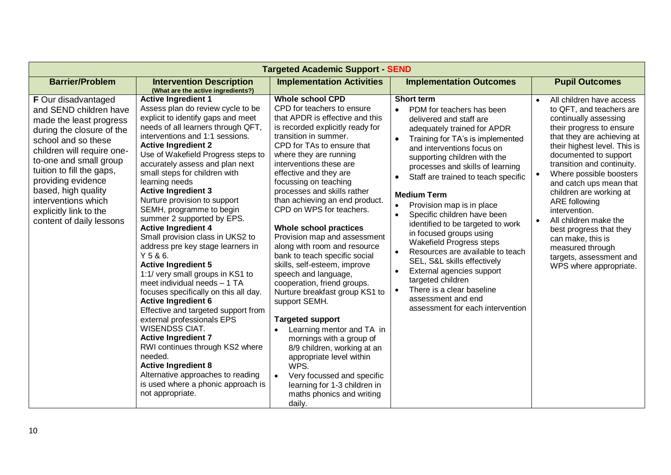| <b>Targeted Academic Support SEND</b>                                                                                                                                                                                                                                                                                                              |                                                                                                                                                                                                                                                                                                                                                                                                                                                                                                                                                                                                                                                                                                                                                                                                                                                                                                                                                                                                                                                                  |                                                                                                                                                                                                                                                                                                                                                                                                                                                                                                                                                                                                                                                                                                                                                                                                                                                                                                                                        |                                                                                                                                                                                                                                                                                                                                                                                                                                                                                                                                                                                                                                                                                                                                                  |                                                                                                                                                                                                                                                                                                                                                                                                                                                                                                                               |  |
|----------------------------------------------------------------------------------------------------------------------------------------------------------------------------------------------------------------------------------------------------------------------------------------------------------------------------------------------------|------------------------------------------------------------------------------------------------------------------------------------------------------------------------------------------------------------------------------------------------------------------------------------------------------------------------------------------------------------------------------------------------------------------------------------------------------------------------------------------------------------------------------------------------------------------------------------------------------------------------------------------------------------------------------------------------------------------------------------------------------------------------------------------------------------------------------------------------------------------------------------------------------------------------------------------------------------------------------------------------------------------------------------------------------------------|----------------------------------------------------------------------------------------------------------------------------------------------------------------------------------------------------------------------------------------------------------------------------------------------------------------------------------------------------------------------------------------------------------------------------------------------------------------------------------------------------------------------------------------------------------------------------------------------------------------------------------------------------------------------------------------------------------------------------------------------------------------------------------------------------------------------------------------------------------------------------------------------------------------------------------------|--------------------------------------------------------------------------------------------------------------------------------------------------------------------------------------------------------------------------------------------------------------------------------------------------------------------------------------------------------------------------------------------------------------------------------------------------------------------------------------------------------------------------------------------------------------------------------------------------------------------------------------------------------------------------------------------------------------------------------------------------|-------------------------------------------------------------------------------------------------------------------------------------------------------------------------------------------------------------------------------------------------------------------------------------------------------------------------------------------------------------------------------------------------------------------------------------------------------------------------------------------------------------------------------|--|
| <b>Barrier/Problem</b>                                                                                                                                                                                                                                                                                                                             | <b>Intervention Description</b><br>(What are the active ingredients?)                                                                                                                                                                                                                                                                                                                                                                                                                                                                                                                                                                                                                                                                                                                                                                                                                                                                                                                                                                                            | <b>Implementation Activities</b>                                                                                                                                                                                                                                                                                                                                                                                                                                                                                                                                                                                                                                                                                                                                                                                                                                                                                                       | <b>Implementation Outcomes</b>                                                                                                                                                                                                                                                                                                                                                                                                                                                                                                                                                                                                                                                                                                                   | <b>Pupil Outcomes</b>                                                                                                                                                                                                                                                                                                                                                                                                                                                                                                         |  |
| <b>F</b> Our disadvantaged<br>and SEND children have<br>made the least progress<br>during the closure of the<br>school and so these<br>children will require one-<br>to-one and small group<br>tuition to fill the gaps,<br>providing evidence<br>based, high quality<br>interventions which<br>explicitly link to the<br>content of daily lessons | <b>Active Ingredient 1</b><br>Assess plan do review cycle to be<br>explicit to identify gaps and meet<br>needs of all learners through QFT,<br>interventions and 1:1 sessions.<br><b>Active Ingredient 2</b><br>Use of Wakefield Progress steps to<br>accurately assess and plan next<br>small steps for children with<br>learning needs<br><b>Active Ingredient 3</b><br>Nurture provision to support<br>SEMH, programme to begin<br>summer 2 supported by EPS.<br><b>Active Ingredient 4</b><br>Small provision class in UKS2 to<br>address pre key stage learners in<br>Y5&6.<br><b>Active Ingredient 5</b><br>1:1/ very small groups in KS1 to<br>meet individual needs - 1 TA<br>focuses specifically on this all day.<br><b>Active Ingredient 6</b><br>Effective and targeted support from<br>external professionals EPS<br><b>WISENDSS CIAT.</b><br><b>Active Ingredient 7</b><br>RWI continues through KS2 where<br>needed.<br><b>Active Ingredient 8</b><br>Alternative approaches to reading<br>is used where a phonic approach is<br>not appropriate. | <b>Whole school CPD</b><br>CPD for teachers to ensure<br>that APDR is effective and this<br>is recorded explicitly ready for<br>transition in summer.<br>CPD for TAs to ensure that<br>where they are running<br>interventions these are<br>effective and they are<br>focussing on teaching<br>processes and skills rather<br>than achieving an end product.<br>CPD on WPS for teachers.<br>Whole school practices<br>Provision map and assessment<br>along with room and resource<br>bank to teach specific social<br>skills, self-esteem, improve<br>speech and language,<br>cooperation, friend groups.<br>Nurture breakfast group KS1 to<br>support SEMH.<br><b>Targeted support</b><br>Learning mentor and TA in<br>mornings with a group of<br>8/9 children, working at an<br>appropriate level within<br>WPS.<br>Very focussed and specific<br>$\bullet$<br>learning for 1-3 children in<br>maths phonics and writing<br>daily. | <b>Short term</b><br>PDM for teachers has been<br>delivered and staff are<br>adequately trained for APDR<br>Training for TA's is implemented<br>and interventions focus on<br>supporting children with the<br>processes and skills of learning<br>Staff are trained to teach specific<br>$\bullet$<br><b>Medium Term</b><br>Provision map is in place<br>Specific children have been<br>$\bullet$<br>identified to be targeted to work<br>in focused groups using<br>Wakefield Progress steps<br>Resources are available to teach<br>$\bullet$<br>SEL, S&L skills effectively<br>External agencies support<br>$\bullet$<br>targeted children<br>There is a clear baseline<br>$\bullet$<br>assessment and end<br>assessment for each intervention | All children have access<br>$\bullet$<br>to QFT, and teachers are<br>continually assessing<br>their progress to ensure<br>that they are achieving at<br>their highest level. This is<br>documented to support<br>transition and continuity.<br>Where possible boosters<br>and catch ups mean that<br>children are working at<br>ARE following<br>intervention.<br>All children make the<br>$\bullet$<br>best progress that they<br>can make, this is<br>measured through<br>targets, assessment and<br>WPS where appropriate. |  |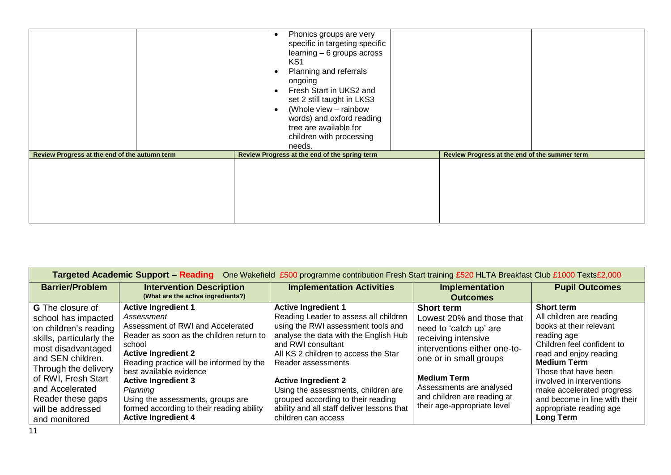|                                               | Phonics groups are very<br>specific in targeting specific<br>learning - 6 groups across<br>KS <sub>1</sub><br>Planning and referrals<br>$\bullet$<br>ongoing<br>Fresh Start in UKS2 and<br>$\bullet$<br>set 2 still taught in LKS3<br>(Whole view - rainbow<br>$\bullet$<br>words) and oxford reading<br>tree are available for<br>children with processing<br>needs. |                                               |  |
|-----------------------------------------------|-----------------------------------------------------------------------------------------------------------------------------------------------------------------------------------------------------------------------------------------------------------------------------------------------------------------------------------------------------------------------|-----------------------------------------------|--|
| Review Progress at the end of the autumn term | Review Progress at the end of the spring term                                                                                                                                                                                                                                                                                                                         | Review Progress at the end of the summer term |  |
|                                               |                                                                                                                                                                                                                                                                                                                                                                       |                                               |  |

|                                                                                                                                                                                                                                                                             | Targeted Academic Support - Reading One Wakefield £500 programme contribution Fresh Start training £520 HLTA Breakfast Club £1000 Texts£2,000                                                                                                                                                                                                                                                      |                                                                                                                                                                                                                                                                                                                                                                                                                        |                                                                                                                                                                                                                                                                           |                                                                                                                                                                                                                                                                                                                                  |  |  |  |
|-----------------------------------------------------------------------------------------------------------------------------------------------------------------------------------------------------------------------------------------------------------------------------|----------------------------------------------------------------------------------------------------------------------------------------------------------------------------------------------------------------------------------------------------------------------------------------------------------------------------------------------------------------------------------------------------|------------------------------------------------------------------------------------------------------------------------------------------------------------------------------------------------------------------------------------------------------------------------------------------------------------------------------------------------------------------------------------------------------------------------|---------------------------------------------------------------------------------------------------------------------------------------------------------------------------------------------------------------------------------------------------------------------------|----------------------------------------------------------------------------------------------------------------------------------------------------------------------------------------------------------------------------------------------------------------------------------------------------------------------------------|--|--|--|
| <b>Barrier/Problem</b>                                                                                                                                                                                                                                                      | <b>Intervention Description</b><br>(What are the active ingredients?)                                                                                                                                                                                                                                                                                                                              | <b>Implementation Activities</b>                                                                                                                                                                                                                                                                                                                                                                                       | Implementation<br><b>Outcomes</b>                                                                                                                                                                                                                                         | <b>Pupil Outcomes</b>                                                                                                                                                                                                                                                                                                            |  |  |  |
| <b>G</b> The closure of<br>school has impacted<br>on children's reading<br>skills, particularly the<br>most disadvantaged<br>and SEN children.<br>Through the delivery<br>of RWI, Fresh Start<br>and Accelerated<br>Reader these gaps<br>will be addressed<br>and monitored | <b>Active Ingredient 1</b><br>Assessment<br>Assessment of RWI and Accelerated<br>Reader as soon as the children return to<br>school<br><b>Active Ingredient 2</b><br>Reading practice will be informed by the<br>best available evidence<br><b>Active Ingredient 3</b><br>Planning<br>Using the assessments, groups are<br>formed according to their reading ability<br><b>Active Ingredient 4</b> | <b>Active Ingredient 1</b><br>Reading Leader to assess all children<br>using the RWI assessment tools and<br>analyse the data with the English Hub<br>and RWI consultant<br>All KS 2 children to access the Star<br>Reader assessments<br><b>Active Ingredient 2</b><br>Using the assessments, children are<br>grouped according to their reading<br>ability and all staff deliver lessons that<br>children can access | <b>Short term</b><br>Lowest 20% and those that<br>need to 'catch up' are<br>receiving intensive<br>interventions either one-to-<br>one or in small groups<br><b>Medium Term</b><br>Assessments are analysed<br>and children are reading at<br>their age-appropriate level | <b>Short term</b><br>All children are reading<br>books at their relevant<br>reading age<br>Children feel confident to<br>read and enjoy reading<br><b>Medium Term</b><br>Those that have been<br>involved in interventions<br>make accelerated progress<br>and become in line with their<br>appropriate reading age<br>Long Term |  |  |  |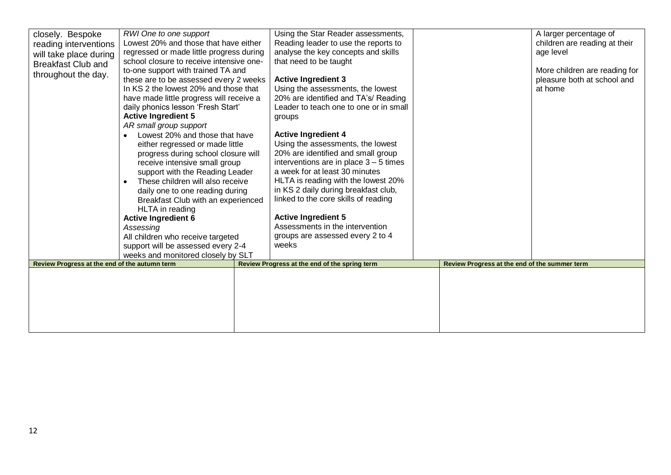| closely. Bespoke<br>reading interventions<br>will take place during<br><b>Breakfast Club and</b><br>throughout the day. | RWI One to one support<br>Lowest 20% and those that have either<br>regressed or made little progress during<br>school closure to receive intensive one-<br>to-one support with trained TA and<br>these are to be assessed every 2 weeks<br>In KS 2 the lowest 20% and those that<br>have made little progress will receive a<br>daily phonics lesson 'Fresh Start'<br><b>Active Ingredient 5</b><br>AR small group support<br>Lowest 20% and those that have<br>either regressed or made little<br>progress during school closure will<br>receive intensive small group<br>support with the Reading Leader<br>These children will also receive<br>$\bullet$<br>daily one to one reading during<br>Breakfast Club with an experienced<br>HLTA in reading<br><b>Active Ingredient 6</b><br>Assessing<br>All children who receive targeted | Using the Star Reader assessments,<br>Reading leader to use the reports to<br>analyse the key concepts and skills<br>that need to be taught<br><b>Active Ingredient 3</b><br>Using the assessments, the lowest<br>20% are identified and TA's/ Reading<br>Leader to teach one to one or in small<br>groups<br><b>Active Ingredient 4</b><br>Using the assessments, the lowest<br>20% are identified and small group<br>interventions are in place $3 - 5$ times<br>a week for at least 30 minutes<br>HLTA is reading with the lowest 20%<br>in KS 2 daily during breakfast club,<br>linked to the core skills of reading<br><b>Active Ingredient 5</b><br>Assessments in the intervention<br>groups are assessed every 2 to 4 |                                               | A larger percentage of<br>children are reading at their<br>age level<br>More children are reading for<br>pleasure both at school and<br>at home |
|-------------------------------------------------------------------------------------------------------------------------|-----------------------------------------------------------------------------------------------------------------------------------------------------------------------------------------------------------------------------------------------------------------------------------------------------------------------------------------------------------------------------------------------------------------------------------------------------------------------------------------------------------------------------------------------------------------------------------------------------------------------------------------------------------------------------------------------------------------------------------------------------------------------------------------------------------------------------------------|-------------------------------------------------------------------------------------------------------------------------------------------------------------------------------------------------------------------------------------------------------------------------------------------------------------------------------------------------------------------------------------------------------------------------------------------------------------------------------------------------------------------------------------------------------------------------------------------------------------------------------------------------------------------------------------------------------------------------------|-----------------------------------------------|-------------------------------------------------------------------------------------------------------------------------------------------------|
|                                                                                                                         |                                                                                                                                                                                                                                                                                                                                                                                                                                                                                                                                                                                                                                                                                                                                                                                                                                         |                                                                                                                                                                                                                                                                                                                                                                                                                                                                                                                                                                                                                                                                                                                               |                                               |                                                                                                                                                 |
|                                                                                                                         | support will be assessed every 2-4                                                                                                                                                                                                                                                                                                                                                                                                                                                                                                                                                                                                                                                                                                                                                                                                      | weeks                                                                                                                                                                                                                                                                                                                                                                                                                                                                                                                                                                                                                                                                                                                         |                                               |                                                                                                                                                 |
|                                                                                                                         | weeks and monitored closely by SLT                                                                                                                                                                                                                                                                                                                                                                                                                                                                                                                                                                                                                                                                                                                                                                                                      |                                                                                                                                                                                                                                                                                                                                                                                                                                                                                                                                                                                                                                                                                                                               |                                               |                                                                                                                                                 |
| Review Progress at the end of the autumn term                                                                           |                                                                                                                                                                                                                                                                                                                                                                                                                                                                                                                                                                                                                                                                                                                                                                                                                                         | Review Progress at the end of the spring term                                                                                                                                                                                                                                                                                                                                                                                                                                                                                                                                                                                                                                                                                 | Review Progress at the end of the summer term |                                                                                                                                                 |
|                                                                                                                         |                                                                                                                                                                                                                                                                                                                                                                                                                                                                                                                                                                                                                                                                                                                                                                                                                                         |                                                                                                                                                                                                                                                                                                                                                                                                                                                                                                                                                                                                                                                                                                                               |                                               |                                                                                                                                                 |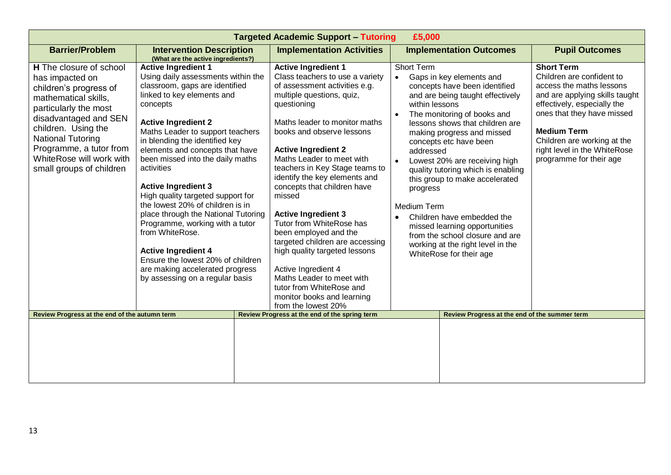| <b>Targeted Academic Support - Tutoring</b><br>£5,000                                                                                                                                                                                                                                       |                                                                                                                                                                                                                                                                                                                                                                                                                                                                                                                                                                                                                                                                                    |                                                                                                                                                                                                                                                                                                                                                                                                                                                                                                                                                                                                                                                                             |                                                                                          |                                                                                                                                                                                                                                                                                                                                                                                                                                                                                                    |                                                                                                                                                                                                                                                                                           |  |
|---------------------------------------------------------------------------------------------------------------------------------------------------------------------------------------------------------------------------------------------------------------------------------------------|------------------------------------------------------------------------------------------------------------------------------------------------------------------------------------------------------------------------------------------------------------------------------------------------------------------------------------------------------------------------------------------------------------------------------------------------------------------------------------------------------------------------------------------------------------------------------------------------------------------------------------------------------------------------------------|-----------------------------------------------------------------------------------------------------------------------------------------------------------------------------------------------------------------------------------------------------------------------------------------------------------------------------------------------------------------------------------------------------------------------------------------------------------------------------------------------------------------------------------------------------------------------------------------------------------------------------------------------------------------------------|------------------------------------------------------------------------------------------|----------------------------------------------------------------------------------------------------------------------------------------------------------------------------------------------------------------------------------------------------------------------------------------------------------------------------------------------------------------------------------------------------------------------------------------------------------------------------------------------------|-------------------------------------------------------------------------------------------------------------------------------------------------------------------------------------------------------------------------------------------------------------------------------------------|--|
| <b>Barrier/Problem</b>                                                                                                                                                                                                                                                                      | <b>Intervention Description</b><br>(What are the active ingredients?)                                                                                                                                                                                                                                                                                                                                                                                                                                                                                                                                                                                                              | <b>Implementation Activities</b>                                                                                                                                                                                                                                                                                                                                                                                                                                                                                                                                                                                                                                            |                                                                                          | <b>Implementation Outcomes</b>                                                                                                                                                                                                                                                                                                                                                                                                                                                                     | <b>Pupil Outcomes</b>                                                                                                                                                                                                                                                                     |  |
| <b>H</b> The closure of school<br>has impacted on<br>children's progress of<br>mathematical skills,<br>particularly the most<br>disadvantaged and SEN<br>children. Using the<br><b>National Tutoring</b><br>Programme, a tutor from<br>WhiteRose will work with<br>small groups of children | <b>Active Ingredient 1</b><br>Using daily assessments within the<br>classroom, gaps are identified<br>linked to key elements and<br>concepts<br><b>Active Ingredient 2</b><br>Maths Leader to support teachers<br>in blending the identified key<br>elements and concepts that have<br>been missed into the daily maths<br>activities<br><b>Active Ingredient 3</b><br>High quality targeted support for<br>the lowest 20% of children is in<br>place through the National Tutoring<br>Programme, working with a tutor<br>from WhiteRose.<br><b>Active Ingredient 4</b><br>Ensure the lowest 20% of children<br>are making accelerated progress<br>by assessing on a regular basis | <b>Active Ingredient 1</b><br>Class teachers to use a variety<br>of assessment activities e.g.<br>multiple questions, quiz,<br>questioning<br>Maths leader to monitor maths<br>books and observe lessons<br><b>Active Ingredient 2</b><br>Maths Leader to meet with<br>teachers in Key Stage teams to<br>identify the key elements and<br>concepts that children have<br>missed<br><b>Active Ingredient 3</b><br>Tutor from WhiteRose has<br>been employed and the<br>targeted children are accessing<br>high quality targeted lessons<br>Active Ingredient 4<br>Maths Leader to meet with<br>tutor from WhiteRose and<br>monitor books and learning<br>from the lowest 20% | Short Term<br>$\bullet$<br>within lessons<br>addressed<br>progress<br><b>Medium Term</b> | Gaps in key elements and<br>concepts have been identified<br>and are being taught effectively<br>The monitoring of books and<br>lessons shows that children are<br>making progress and missed<br>concepts etc have been<br>Lowest 20% are receiving high<br>quality tutoring which is enabling<br>this group to make accelerated<br>Children have embedded the<br>missed learning opportunities<br>from the school closure and are<br>working at the right level in the<br>WhiteRose for their age | <b>Short Term</b><br>Children are confident to<br>access the maths lessons<br>and are applying skills taught<br>effectively, especially the<br>ones that they have missed<br><b>Medium Term</b><br>Children are working at the<br>right level in the WhiteRose<br>programme for their age |  |
| Review Progress at the end of the autumn term                                                                                                                                                                                                                                               |                                                                                                                                                                                                                                                                                                                                                                                                                                                                                                                                                                                                                                                                                    | Review Progress at the end of the spring term                                                                                                                                                                                                                                                                                                                                                                                                                                                                                                                                                                                                                               | Review Progress at the end of the summer term                                            |                                                                                                                                                                                                                                                                                                                                                                                                                                                                                                    |                                                                                                                                                                                                                                                                                           |  |
|                                                                                                                                                                                                                                                                                             |                                                                                                                                                                                                                                                                                                                                                                                                                                                                                                                                                                                                                                                                                    |                                                                                                                                                                                                                                                                                                                                                                                                                                                                                                                                                                                                                                                                             |                                                                                          |                                                                                                                                                                                                                                                                                                                                                                                                                                                                                                    |                                                                                                                                                                                                                                                                                           |  |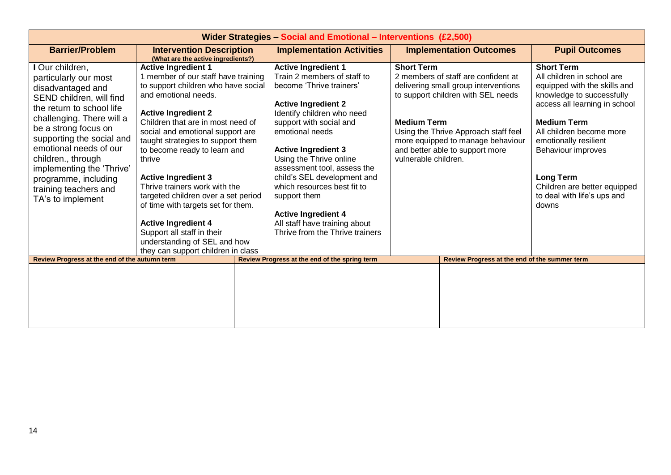| Wider Strategies - Social and Emotional - Interventions (£2,500)                                                                                                                                                                                                                                                                                            |                                                                                                                                                                                                                                                                                                                                                                                                                                                                                                                                                                                                      |                                                                                                                                                                                                                                                                                                                                                                                                                                                                         |                                                                                                                                                                                                                                                                                                      |                                                                                                                                                                                                                                                                                                                                            |  |  |  |
|-------------------------------------------------------------------------------------------------------------------------------------------------------------------------------------------------------------------------------------------------------------------------------------------------------------------------------------------------------------|------------------------------------------------------------------------------------------------------------------------------------------------------------------------------------------------------------------------------------------------------------------------------------------------------------------------------------------------------------------------------------------------------------------------------------------------------------------------------------------------------------------------------------------------------------------------------------------------------|-------------------------------------------------------------------------------------------------------------------------------------------------------------------------------------------------------------------------------------------------------------------------------------------------------------------------------------------------------------------------------------------------------------------------------------------------------------------------|------------------------------------------------------------------------------------------------------------------------------------------------------------------------------------------------------------------------------------------------------------------------------------------------------|--------------------------------------------------------------------------------------------------------------------------------------------------------------------------------------------------------------------------------------------------------------------------------------------------------------------------------------------|--|--|--|
| <b>Barrier/Problem</b>                                                                                                                                                                                                                                                                                                                                      | <b>Intervention Description</b><br>(What are the active ingredients?)                                                                                                                                                                                                                                                                                                                                                                                                                                                                                                                                | <b>Implementation Activities</b>                                                                                                                                                                                                                                                                                                                                                                                                                                        | <b>Implementation Outcomes</b>                                                                                                                                                                                                                                                                       | <b>Pupil Outcomes</b>                                                                                                                                                                                                                                                                                                                      |  |  |  |
| I Our children,<br>particularly our most<br>disadvantaged and<br>SEND children, will find<br>the return to school life<br>challenging. There will a<br>be a strong focus on<br>supporting the social and<br>emotional needs of our<br>children., through<br>implementing the 'Thrive'<br>programme, including<br>training teachers and<br>TA's to implement | <b>Active Ingredient 1</b><br>1 member of our staff have training<br>to support children who have social<br>and emotional needs.<br><b>Active Ingredient 2</b><br>Children that are in most need of<br>social and emotional support are<br>taught strategies to support them<br>to become ready to learn and<br>thrive<br><b>Active Ingredient 3</b><br>Thrive trainers work with the<br>targeted children over a set period<br>of time with targets set for them.<br><b>Active Ingredient 4</b><br>Support all staff in their<br>understanding of SEL and how<br>they can support children in class | <b>Active Ingredient 1</b><br>Train 2 members of staff to<br>become 'Thrive trainers'<br><b>Active Ingredient 2</b><br>Identify children who need<br>support with social and<br>emotional needs<br><b>Active Ingredient 3</b><br>Using the Thrive online<br>assessment tool, assess the<br>child's SEL development and<br>which resources best fit to<br>support them<br><b>Active Ingredient 4</b><br>All staff have training about<br>Thrive from the Thrive trainers | <b>Short Term</b><br>2 members of staff are confident at<br>delivering small group interventions<br>to support children with SEL needs<br><b>Medium Term</b><br>Using the Thrive Approach staff feel<br>more equipped to manage behaviour<br>and better able to support more<br>vulnerable children. | <b>Short Term</b><br>All children in school are<br>equipped with the skills and<br>knowledge to successfully<br>access all learning in school<br><b>Medium Term</b><br>All children become more<br>emotionally resilient<br>Behaviour improves<br><b>Long Term</b><br>Children are better equipped<br>to deal with life's ups and<br>downs |  |  |  |
| Review Progress at the end of the autumn term                                                                                                                                                                                                                                                                                                               |                                                                                                                                                                                                                                                                                                                                                                                                                                                                                                                                                                                                      | Review Progress at the end of the spring term                                                                                                                                                                                                                                                                                                                                                                                                                           | Review Progress at the end of the summer term                                                                                                                                                                                                                                                        |                                                                                                                                                                                                                                                                                                                                            |  |  |  |
|                                                                                                                                                                                                                                                                                                                                                             |                                                                                                                                                                                                                                                                                                                                                                                                                                                                                                                                                                                                      |                                                                                                                                                                                                                                                                                                                                                                                                                                                                         |                                                                                                                                                                                                                                                                                                      |                                                                                                                                                                                                                                                                                                                                            |  |  |  |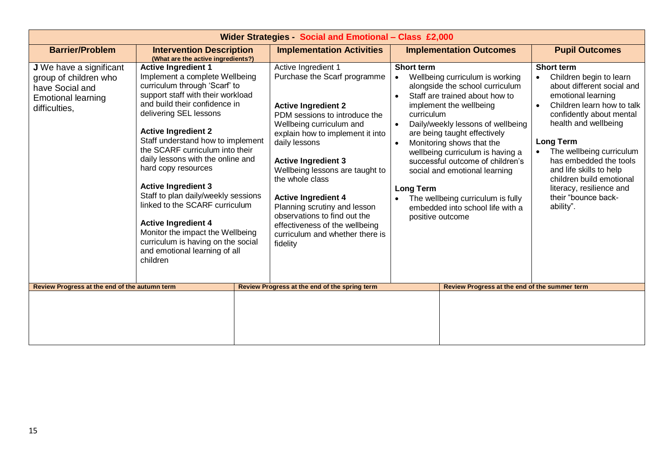| <b>Wider Strategies - Social and Emotional - Class £2,000</b>                                                     |                                                                                                                                                                                                                                                                                                                                                                                                                                                                                                                                                                                                                             |                                                                                                                                                                                                                                                                                                                                                                                                                                                                        |                                                                                                                                                                                                                                                                                                                                                                                                                                                                                                                                                                 |                                                                                                                                                                                                                                                                                                                                                                                                  |  |  |
|-------------------------------------------------------------------------------------------------------------------|-----------------------------------------------------------------------------------------------------------------------------------------------------------------------------------------------------------------------------------------------------------------------------------------------------------------------------------------------------------------------------------------------------------------------------------------------------------------------------------------------------------------------------------------------------------------------------------------------------------------------------|------------------------------------------------------------------------------------------------------------------------------------------------------------------------------------------------------------------------------------------------------------------------------------------------------------------------------------------------------------------------------------------------------------------------------------------------------------------------|-----------------------------------------------------------------------------------------------------------------------------------------------------------------------------------------------------------------------------------------------------------------------------------------------------------------------------------------------------------------------------------------------------------------------------------------------------------------------------------------------------------------------------------------------------------------|--------------------------------------------------------------------------------------------------------------------------------------------------------------------------------------------------------------------------------------------------------------------------------------------------------------------------------------------------------------------------------------------------|--|--|
| <b>Barrier/Problem</b>                                                                                            | <b>Intervention Description</b><br>(What are the active ingredients?)                                                                                                                                                                                                                                                                                                                                                                                                                                                                                                                                                       | <b>Implementation Activities</b>                                                                                                                                                                                                                                                                                                                                                                                                                                       | <b>Implementation Outcomes</b>                                                                                                                                                                                                                                                                                                                                                                                                                                                                                                                                  | <b>Pupil Outcomes</b>                                                                                                                                                                                                                                                                                                                                                                            |  |  |
| J We have a significant<br>group of children who<br>have Social and<br><b>Emotional learning</b><br>difficulties, | <b>Active Ingredient 1</b><br>Implement a complete Wellbeing<br>curriculum through 'Scarf' to<br>support staff with their workload<br>and build their confidence in<br>delivering SEL lessons<br><b>Active Ingredient 2</b><br>Staff understand how to implement<br>the SCARF curriculum into their<br>daily lessons with the online and<br>hard copy resources<br><b>Active Ingredient 3</b><br>Staff to plan daily/weekly sessions<br>linked to the SCARF curriculum<br><b>Active Ingredient 4</b><br>Monitor the impact the Wellbeing<br>curriculum is having on the social<br>and emotional learning of all<br>children | Active Ingredient 1<br>Purchase the Scarf programme<br><b>Active Ingredient 2</b><br>PDM sessions to introduce the<br>Wellbeing curriculum and<br>explain how to implement it into<br>daily lessons<br><b>Active Ingredient 3</b><br>Wellbeing lessons are taught to<br>the whole class<br><b>Active Ingredient 4</b><br>Planning scrutiny and lesson<br>observations to find out the<br>effectiveness of the wellbeing<br>curriculum and whether there is<br>fidelity | <b>Short term</b><br>Wellbeing curriculum is working<br>$\bullet$<br>alongside the school curriculum<br>Staff are trained about how to<br>$\bullet$<br>implement the wellbeing<br>curriculum<br>Daily/weekly lessons of wellbeing<br>$\bullet$<br>are being taught effectively<br>Monitoring shows that the<br>$\bullet$<br>wellbeing curriculum is having a<br>successful outcome of children's<br>social and emotional learning<br><b>Long Term</b><br>The wellbeing curriculum is fully<br>$\bullet$<br>embedded into school life with a<br>positive outcome | <b>Short term</b><br>Children begin to learn<br>about different social and<br>emotional learning<br>Children learn how to talk<br>$\bullet$<br>confidently about mental<br>health and wellbeing<br><b>Long Term</b><br>The wellbeing curriculum<br>has embedded the tools<br>and life skills to help<br>children build emotional<br>literacy, resilience and<br>their "bounce back-<br>ability". |  |  |
| Review Progress at the end of the autumn term                                                                     |                                                                                                                                                                                                                                                                                                                                                                                                                                                                                                                                                                                                                             | Review Progress at the end of the spring term                                                                                                                                                                                                                                                                                                                                                                                                                          | Review Progress at the end of the summer term                                                                                                                                                                                                                                                                                                                                                                                                                                                                                                                   |                                                                                                                                                                                                                                                                                                                                                                                                  |  |  |
|                                                                                                                   |                                                                                                                                                                                                                                                                                                                                                                                                                                                                                                                                                                                                                             |                                                                                                                                                                                                                                                                                                                                                                                                                                                                        |                                                                                                                                                                                                                                                                                                                                                                                                                                                                                                                                                                 |                                                                                                                                                                                                                                                                                                                                                                                                  |  |  |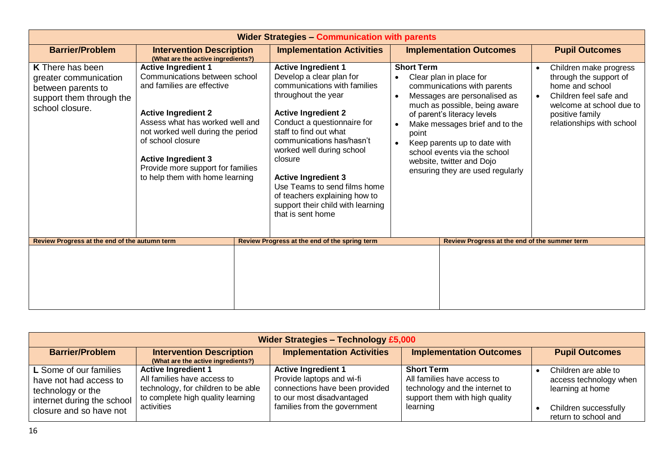| <b>Wider Strategies - Communication with parents</b>                                                                  |                                                                                                                                                                                                                                                                                                                            |                                                                                                                                                                                                                                                                                                                                                                                                                                    |                                                                   |                                                                                                                                                                                                                                                                                                                           |                       |                                                                                                                                                                           |  |
|-----------------------------------------------------------------------------------------------------------------------|----------------------------------------------------------------------------------------------------------------------------------------------------------------------------------------------------------------------------------------------------------------------------------------------------------------------------|------------------------------------------------------------------------------------------------------------------------------------------------------------------------------------------------------------------------------------------------------------------------------------------------------------------------------------------------------------------------------------------------------------------------------------|-------------------------------------------------------------------|---------------------------------------------------------------------------------------------------------------------------------------------------------------------------------------------------------------------------------------------------------------------------------------------------------------------------|-----------------------|---------------------------------------------------------------------------------------------------------------------------------------------------------------------------|--|
| <b>Barrier/Problem</b>                                                                                                | <b>Intervention Description</b><br>(What are the active ingredients?)                                                                                                                                                                                                                                                      | <b>Implementation Activities</b>                                                                                                                                                                                                                                                                                                                                                                                                   | <b>Implementation Outcomes</b>                                    |                                                                                                                                                                                                                                                                                                                           | <b>Pupil Outcomes</b> |                                                                                                                                                                           |  |
| <b>K</b> There has been<br>greater communication<br>between parents to<br>support them through the<br>school closure. | <b>Active Ingredient 1</b><br>Communications between school<br>and families are effective<br><b>Active Ingredient 2</b><br>Assess what has worked well and<br>not worked well during the period<br>of school closure<br><b>Active Ingredient 3</b><br>Provide more support for families<br>to help them with home learning | <b>Active Ingredient 1</b><br>Develop a clear plan for<br>communications with families<br>throughout the year<br><b>Active Ingredient 2</b><br>Conduct a questionnaire for<br>staff to find out what<br>communications has/hasn't<br>worked well during school<br>closure<br><b>Active Ingredient 3</b><br>Use Teams to send films home<br>of teachers explaining how to<br>support their child with learning<br>that is sent home | <b>Short Term</b><br>$\bullet$<br>$\bullet$<br>point<br>$\bullet$ | Clear plan in place for<br>communications with parents<br>Messages are personalised as<br>much as possible, being aware<br>of parent's literacy levels<br>Make messages brief and to the<br>Keep parents up to date with<br>school events via the school<br>website, twitter and Dojo<br>ensuring they are used regularly | $\bullet$             | Children make progress<br>through the support of<br>home and school<br>Children feel safe and<br>welcome at school due to<br>positive family<br>relationships with school |  |
| Review Progress at the end of the autumn term                                                                         |                                                                                                                                                                                                                                                                                                                            | Review Progress at the end of the spring term                                                                                                                                                                                                                                                                                                                                                                                      | Review Progress at the end of the summer term                     |                                                                                                                                                                                                                                                                                                                           |                       |                                                                                                                                                                           |  |
|                                                                                                                       |                                                                                                                                                                                                                                                                                                                            |                                                                                                                                                                                                                                                                                                                                                                                                                                    |                                                                   |                                                                                                                                                                                                                                                                                                                           |                       |                                                                                                                                                                           |  |

| <b>Wider Strategies - Technology £5,000</b>                                                                                      |                                                                                                                                                     |                                                                                                                                                        |                                                                                                                                  |                                                                                                                     |  |  |  |
|----------------------------------------------------------------------------------------------------------------------------------|-----------------------------------------------------------------------------------------------------------------------------------------------------|--------------------------------------------------------------------------------------------------------------------------------------------------------|----------------------------------------------------------------------------------------------------------------------------------|---------------------------------------------------------------------------------------------------------------------|--|--|--|
| <b>Barrier/Problem</b>                                                                                                           | <b>Intervention Description</b><br><b>Implementation Activities</b><br><b>Implementation Outcomes</b><br>(What are the active ingredients?)         |                                                                                                                                                        |                                                                                                                                  |                                                                                                                     |  |  |  |
| L Some of our families<br>have not had access to<br>technology or the<br>internet during the school  <br>closure and so have not | <b>Active Ingredient 1</b><br>All families have access to<br>technology, for children to be able<br>to complete high quality learning<br>activities | <b>Active Ingredient 1</b><br>Provide laptops and wi-fi<br>connections have been provided<br>to our most disadvantaged<br>families from the government | <b>Short Term</b><br>All families have access to<br>technology and the internet to<br>support them with high quality<br>learning | Children are able to<br>access technology when<br>learning at home<br>Children successfully<br>return to school and |  |  |  |